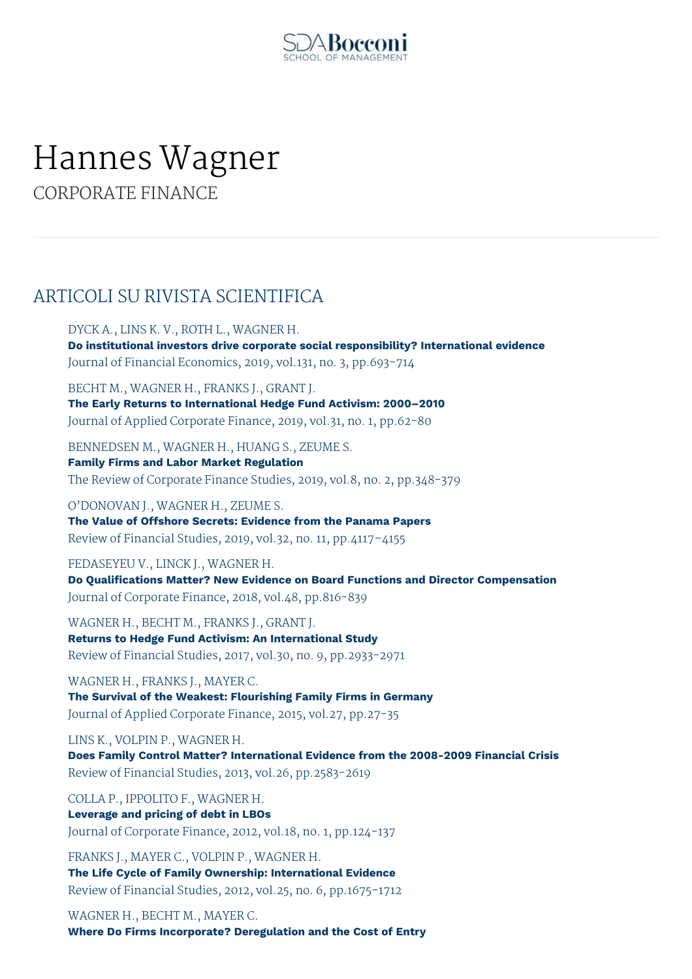

## Hannes Wagner

CORPORATE FINANCE

## ARTICOLI SU RIVISTA SCIENTIFICA

DYCK A., LINS K. V., ROTH L., WAGNER H. **Do institutional investors drive corporate social responsibility? International evidence** Journal of Financial Economics, 2019, vol.131, no. 3, pp.693-714

BECHT M., WAGNER H., FRANKS J., GRANT J. **The Early Returns to International Hedge Fund Activism: 2000–2010** Journal of Applied Corporate Finance, 2019, vol.31, no. 1, pp.62-80

BENNEDSEN M., WAGNER H., HUANG S., ZEUME S.

**Family Firms and Labor Market Regulation** The Review of Corporate Finance Studies, 2019, vol.8, no. 2, pp.348-379

O'DONOVAN J., WAGNER H., ZEUME S. **The Value of Offshore Secrets: Evidence from the Panama Papers** Review of Financial Studies, 2019, vol.32, no. 11, pp.4117–4155

FEDASEYEU V., LINCK J., WAGNER H. **Do Qualifications Matter? New Evidence on Board Functions and Director Compensation** Journal of Corporate Finance, 2018, vol.48, pp.816-839

WAGNER H., BECHT M., FRANKS J., GRANT J. **Returns to Hedge Fund Activism: An International Study** Review of Financial Studies, 2017, vol.30, no. 9, pp.2933-2971

WAGNER H., FRANKS J., MAYER C. **The Survival of the Weakest: Flourishing Family Firms in Germany** Journal of Applied Corporate Finance, 2015, vol.27, pp.27-35

LINS K., VOLPIN P., WAGNER H.

**Does Family Control Matter? International Evidence from the 2008-2009 Financial Crisis** Review of Financial Studies, 2013, vol.26, pp.2583-2619

COLLA P., IPPOLITO F., WAGNER H.

**Leverage and pricing of debt in LBOs** Journal of Corporate Finance, 2012, vol.18, no. 1, pp.124-137

FRANKS J., MAYER C., VOLPIN P., WAGNER H. **The Life Cycle of Family Ownership: International Evidence** Review of Financial Studies, 2012, vol.25, no. 6, pp.1675-1712

WAGNER H., BECHT M., MAYER C. **Where Do Firms Incorporate? Deregulation and the Cost of Entry**